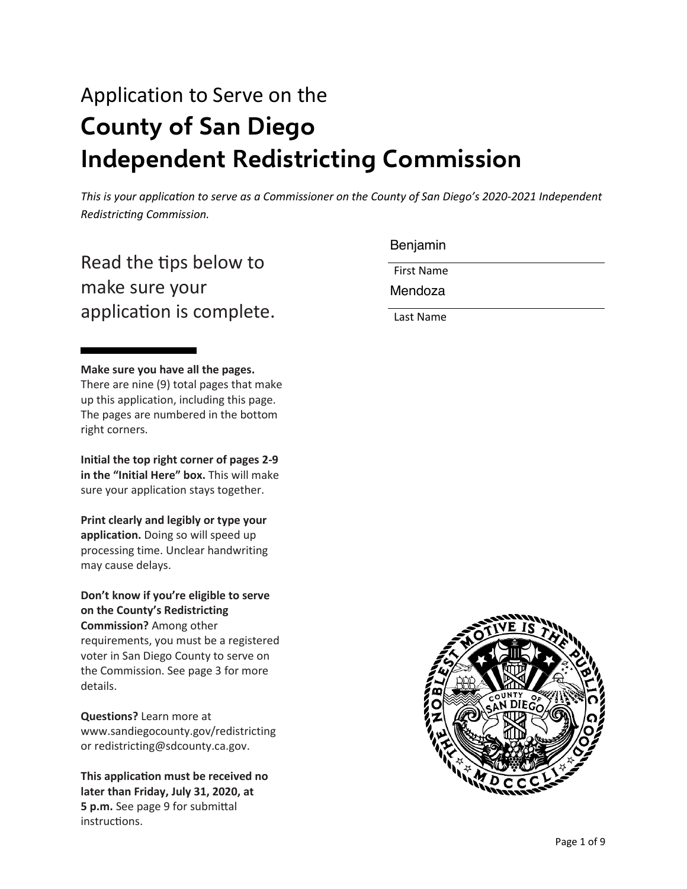# Application to Serve on the **County of San Diego Independent Redistricting Commission**

*dhis is your application to serve as a Commissioner on the County of San Diego's 2020-2021 Independent Redistricting Commission.* 

Read the tips below to make sure your application is complete. Benjamin

First Name

Mendoza

Last Name

### **Make sure you have all the pages.**  There are nine (9) total pages that make up this application, including this page. The pages are numbered in the bottom

right corners. **Initial the top right corner of pages 2-9 in the "Initial Here" box.** This will make

sure your application stays together.

**Print clearly and legibly or type your**  application. Doing so will speed up processing time. Unclear handwriting may cause delays.

**Don't know if you're eligible to serve on the County's Redistricting Commission?** Among other requirements, you must be a registered voter in San Diego County to serve on the Commission. See page 3 for more details.

**Questions?** Learn more at www.sandiegocounty.gov/redistricting or redistricting@sdcounty.ca.gov.

This application must be received no **later than Friday, July 31, 2020, at 5 p.m.** See page 9 for submittal instructions.

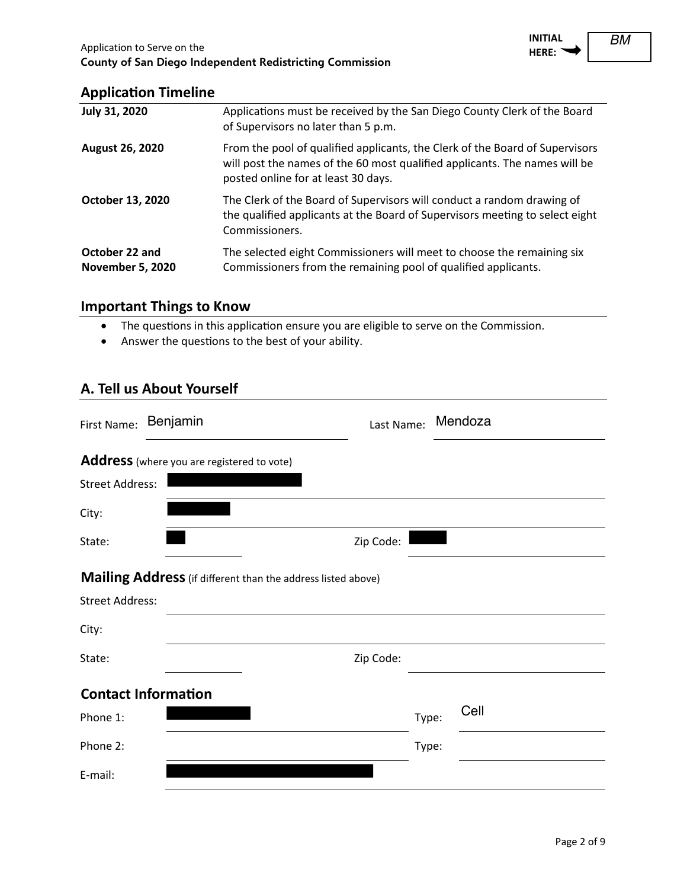

### **Application Timeline**

| <b>July 31, 2020</b>                      | Applications must be received by the San Diego County Clerk of the Board<br>of Supervisors no later than 5 p.m.                                                                                   |
|-------------------------------------------|---------------------------------------------------------------------------------------------------------------------------------------------------------------------------------------------------|
| August 26, 2020                           | From the pool of qualified applicants, the Clerk of the Board of Supervisors<br>will post the names of the 60 most qualified applicants. The names will be<br>posted online for at least 30 days. |
| October 13, 2020                          | The Clerk of the Board of Supervisors will conduct a random drawing of<br>the qualified applicants at the Board of Supervisors meeting to select eight<br>Commissioners.                          |
| October 22 and<br><b>November 5, 2020</b> | The selected eight Commissioners will meet to choose the remaining six<br>Commissioners from the remaining pool of qualified applicants.                                                          |

### **Important Things to Know**

- The questions in this application ensure you are eligible to serve on the Commission.
- Answer the questions to the best of your ability.

### **A. Tell us About Yourself**

| First Name:            | Benjamin                                                     | Last Name: Mendoza |      |
|------------------------|--------------------------------------------------------------|--------------------|------|
|                        | <b>Address</b> (where you are registered to vote)            |                    |      |
| <b>Street Address:</b> |                                                              |                    |      |
| City:                  |                                                              |                    |      |
| State:                 |                                                              | Zip Code:          |      |
|                        | Mailing Address (if different than the address listed above) |                    |      |
| <b>Street Address:</b> |                                                              |                    |      |
| City:                  |                                                              |                    |      |
| State:                 |                                                              | Zip Code:          |      |
|                        | <b>Contact Information</b>                                   |                    |      |
| Phone 1:               |                                                              | Type:              | Cell |
| Phone 2:               |                                                              | Type:              |      |
| E-mail:                |                                                              |                    |      |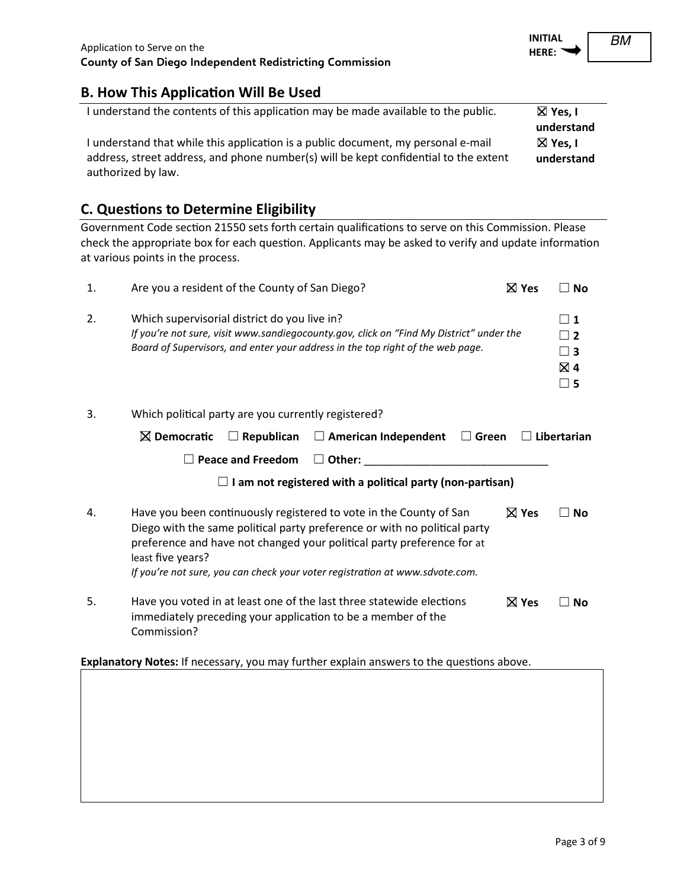### **B. How This Application Will Be Used**

| I understand the contents of this application may be made available to the public.   | $\boxtimes$ Yes, I |
|--------------------------------------------------------------------------------------|--------------------|
|                                                                                      | understand         |
| I understand that while this application is a public document, my personal e-mail    | $\boxtimes$ Yes. I |
| address, street address, and phone number(s) will be kept confidential to the extent | understand         |
| authorized by law.                                                                   |                    |

### **C. Questions to Determine Eligibility**

Government Code section 21550 sets forth certain qualifications to serve on this Commission. Please check the appropriate box for each question. Applicants may be asked to verify and update information at various points in the process.

| 1. | Are you a resident of the County of San Diego?                                                                                                                                                                                                                                                                                 | $\boxtimes$ Yes | $\Box$ No                                          |
|----|--------------------------------------------------------------------------------------------------------------------------------------------------------------------------------------------------------------------------------------------------------------------------------------------------------------------------------|-----------------|----------------------------------------------------|
| 2. | Which supervisorial district do you live in?<br>If you're not sure, visit www.sandiegocounty.gov, click on "Find My District" under the<br>Board of Supervisors, and enter your address in the top right of the web page.                                                                                                      |                 | $\vert$ 1<br>$\vert 2$<br>∃ 3<br>⊠ 4<br>$\sqcup$ 5 |
| 3. | Which political party are you currently registered?                                                                                                                                                                                                                                                                            |                 |                                                    |
|    | $\boxtimes$ Democratic<br>$\Box$ Republican<br>$\Box$ American Independent<br>$\Box$ Green                                                                                                                                                                                                                                     |                 | $\Box$ Libertarian                                 |
|    | <b>Peace and Freedom</b><br>Other:<br>$\perp$                                                                                                                                                                                                                                                                                  |                 |                                                    |
|    | I am not registered with a political party (non-partisan)                                                                                                                                                                                                                                                                      |                 |                                                    |
| 4. | Have you been continuously registered to vote in the County of San<br>Diego with the same political party preference or with no political party<br>preference and have not changed your political party preference for at<br>least five years?<br>If you're not sure, you can check your voter registration at www.sdvote.com. | $\boxtimes$ Yes | Nο                                                 |
| 5. | Have you voted in at least one of the last three statewide elections<br>immediately preceding your application to be a member of the<br>Commission?                                                                                                                                                                            | $\boxtimes$ Yes | Nο                                                 |

Explanatory Notes: If necessary, you may further explain answers to the questions above.

**INITIAL HERE:**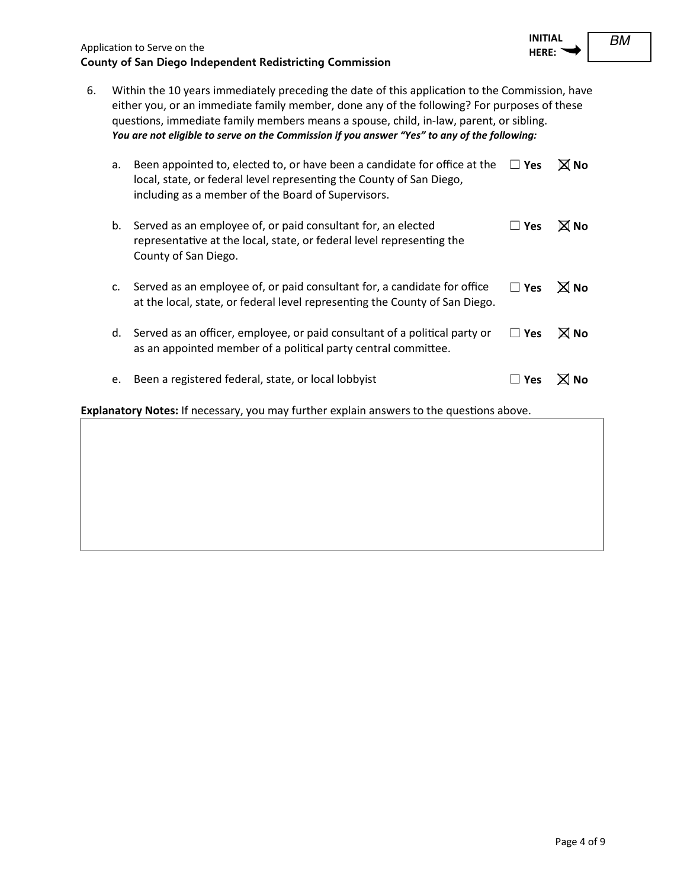

6. Within the 10 years immediately preceding the date of this application to the Commission, have either you, or an immediate family member, done any of the following? For purposes of these questions, immediate family members means a spouse, child, in-law, parent, or sibling.

*You are not eligible to serve on the Commission if you answer "Yes" to any of the following:*

| Been appointed to, elected to, or have been a candidate for office at the<br>a.<br>local, state, or federal level representing the County of San Diego,<br>including as a member of the Board of Supervisors. | $\Box$ Yes | ⊠ No           |
|---------------------------------------------------------------------------------------------------------------------------------------------------------------------------------------------------------------|------------|----------------|
| Served as an employee of, or paid consultant for, an elected<br>b.<br>representative at the local, state, or federal level representing the<br>County of San Diego.                                           | $\Box$ Yes | $\boxtimes$ No |
| Served as an employee of, or paid consultant for, a candidate for office<br>c.<br>at the local, state, or federal level representing the County of San Diego.                                                 | $\Box$ Yes | $\boxtimes$ No |
| Served as an officer, employee, or paid consultant of a political party or<br>d.<br>as an appointed member of a political party central committee.                                                            | $\Box$ Yes | $\boxtimes$ No |
| Been a registered federal, state, or local lobbyist<br>e.                                                                                                                                                     | Yes        |                |

Explanatory Notes: If necessary, you may further explain answers to the questions above.

*BM*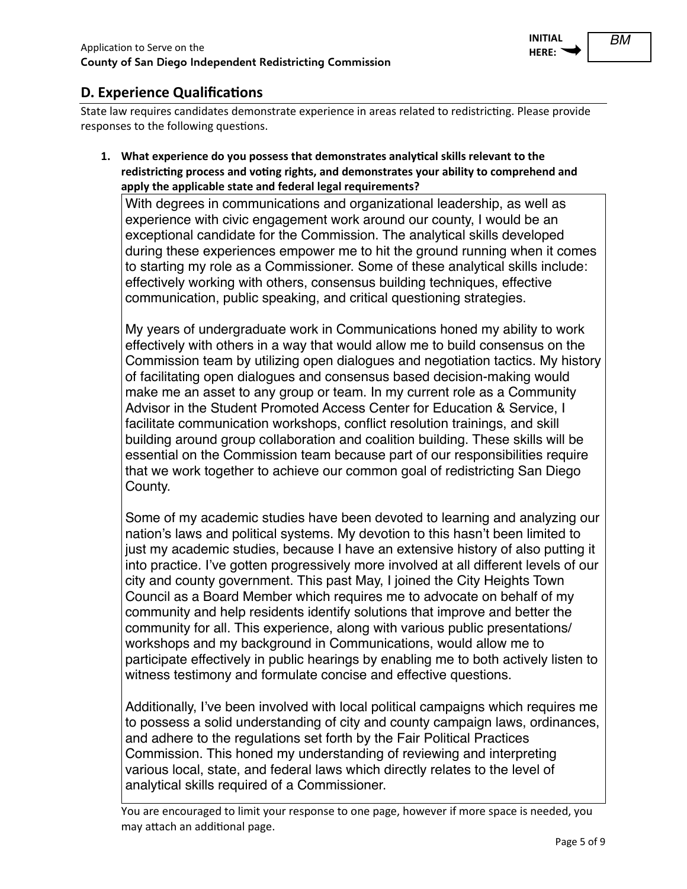

*BM*

### **D.** Experience Qualifications

State law requires candidates demonstrate experience in areas related to redistricting. Please provide responses to the following questions.

**1.** What experience do you possess that demonstrates analytical skills relevant to the redistricting process and voting rights, and demonstrates your ability to comprehend and **apply the applicable state and federal legal requirements?** 

With degrees in communications and organizational leadership, as well as experience with civic engagement work around our county, I would be an exceptional candidate for the Commission. The analytical skills developed during these experiences empower me to hit the ground running when it comes to starting my role as a Commissioner. Some of these analytical skills include: effectively working with others, consensus building techniques, effective communication, public speaking, and critical questioning strategies.

My years of undergraduate work in Communications honed my ability to work effectively with others in a way that would allow me to build consensus on the Commission team by utilizing open dialogues and negotiation tactics. My history of facilitating open dialogues and consensus based decision-making would make me an asset to any group or team. In my current role as a Community Advisor in the Student Promoted Access Center for Education & Service, I facilitate communication workshops, conflict resolution trainings, and skill building around group collaboration and coalition building. These skills will be essential on the Commission team because part of our responsibilities require that we work together to achieve our common goal of redistricting San Diego County.

Some of my academic studies have been devoted to learning and analyzing our nation's laws and political systems. My devotion to this hasn't been limited to just my academic studies, because I have an extensive history of also putting it into practice. I've gotten progressively more involved at all different levels of our city and county government. This past May, I joined the City Heights Town Council as a Board Member which requires me to advocate on behalf of my community and help residents identify solutions that improve and better the community for all. This experience, along with various public presentations/ workshops and my background in Communications, would allow me to participate effectively in public hearings by enabling me to both actively listen to witness testimony and formulate concise and effective questions.

Additionally, I've been involved with local political campaigns which requires me to possess a solid understanding of city and county campaign laws, ordinances, and adhere to the regulations set forth by the Fair Political Practices Commission. This honed my understanding of reviewing and interpreting various local, state, and federal laws which directly relates to the level of analytical skills required of a Commissioner.

You are encouraged to limit your response to one page, however if more space is needed, you may attach an additional page.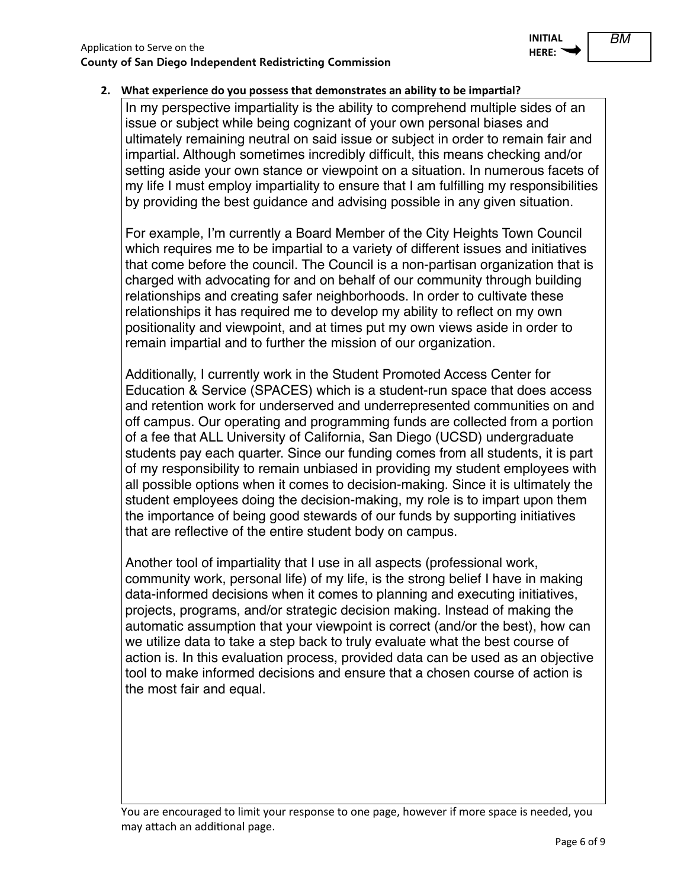**INITIAL HERE:**

### 2. What experience do you possess that demonstrates an ability to be impartial?

In my perspective impartiality is the ability to comprehend multiple sides of an issue or subject while being cognizant of your own personal biases and ultimately remaining neutral on said issue or subject in order to remain fair and impartial. Although sometimes incredibly difficult, this means checking and/or setting aside your own stance or viewpoint on a situation. In numerous facets of my life I must employ impartiality to ensure that I am fulfilling my responsibilities by providing the best guidance and advising possible in any given situation.

For example, I'm currently a Board Member of the City Heights Town Council which requires me to be impartial to a variety of different issues and initiatives that come before the council. The Council is a non-partisan organization that is charged with advocating for and on behalf of our community through building relationships and creating safer neighborhoods. In order to cultivate these relationships it has required me to develop my ability to reflect on my own positionality and viewpoint, and at times put my own views aside in order to remain impartial and to further the mission of our organization.

Additionally, I currently work in the Student Promoted Access Center for Education & Service (SPACES) which is a student-run space that does access and retention work for underserved and underrepresented communities on and off campus. Our operating and programming funds are collected from a portion of a fee that ALL University of California, San Diego (UCSD) undergraduate students pay each quarter. Since our funding comes from all students, it is part of my responsibility to remain unbiased in providing my student employees with all possible options when it comes to decision-making. Since it is ultimately the student employees doing the decision-making, my role is to impart upon them the importance of being good stewards of our funds by supporting initiatives that are reflective of the entire student body on campus.

Another tool of impartiality that I use in all aspects (professional work, community work, personal life) of my life, is the strong belief I have in making data-informed decisions when it comes to planning and executing initiatives, projects, programs, and/or strategic decision making. Instead of making the automatic assumption that your viewpoint is correct (and/or the best), how can we utilize data to take a step back to truly evaluate what the best course of action is. In this evaluation process, provided data can be used as an objective tool to make informed decisions and ensure that a chosen course of action is the most fair and equal.

You are encouraged to limit your response to one page, however if more space is needed, you may attach an additional page.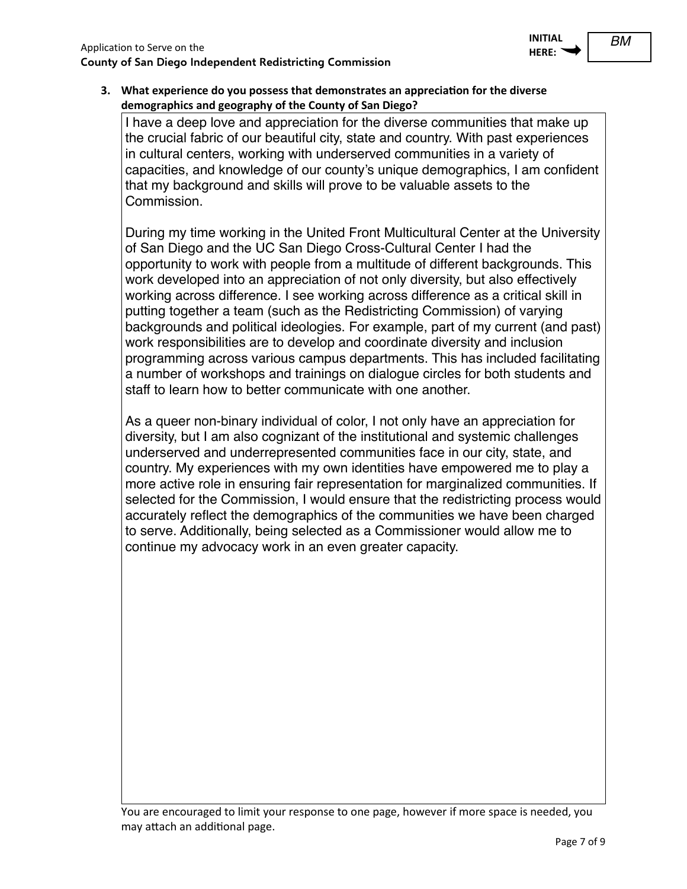**3.** What experience do you possess that demonstrates an appreciation for the diverse **demographics and geography of the County of San Diego?** 

I have a deep love and appreciation for the diverse communities that make up the crucial fabric of our beautiful city, state and country. With past experiences in cultural centers, working with underserved communities in a variety of capacities, and knowledge of our county's unique demographics, I am confident that my background and skills will prove to be valuable assets to the Commission.

During my time working in the United Front Multicultural Center at the University of San Diego and the UC San Diego Cross-Cultural Center I had the opportunity to work with people from a multitude of different backgrounds. This work developed into an appreciation of not only diversity, but also effectively working across difference. I see working across difference as a critical skill in putting together a team (such as the Redistricting Commission) of varying backgrounds and political ideologies. For example, part of my current (and past) work responsibilities are to develop and coordinate diversity and inclusion programming across various campus departments. This has included facilitating a number of workshops and trainings on dialogue circles for both students and staff to learn how to better communicate with one another.

As a queer non-binary individual of color, I not only have an appreciation for diversity, but I am also cognizant of the institutional and systemic challenges underserved and underrepresented communities face in our city, state, and country. My experiences with my own identities have empowered me to play a more active role in ensuring fair representation for marginalized communities. If selected for the Commission, I would ensure that the redistricting process would accurately reflect the demographics of the communities we have been charged to serve. Additionally, being selected as a Commissioner would allow me to continue my advocacy work in an even greater capacity.

You are encouraged to limit your response to one page, however if more space is needed, you may attach an additional page.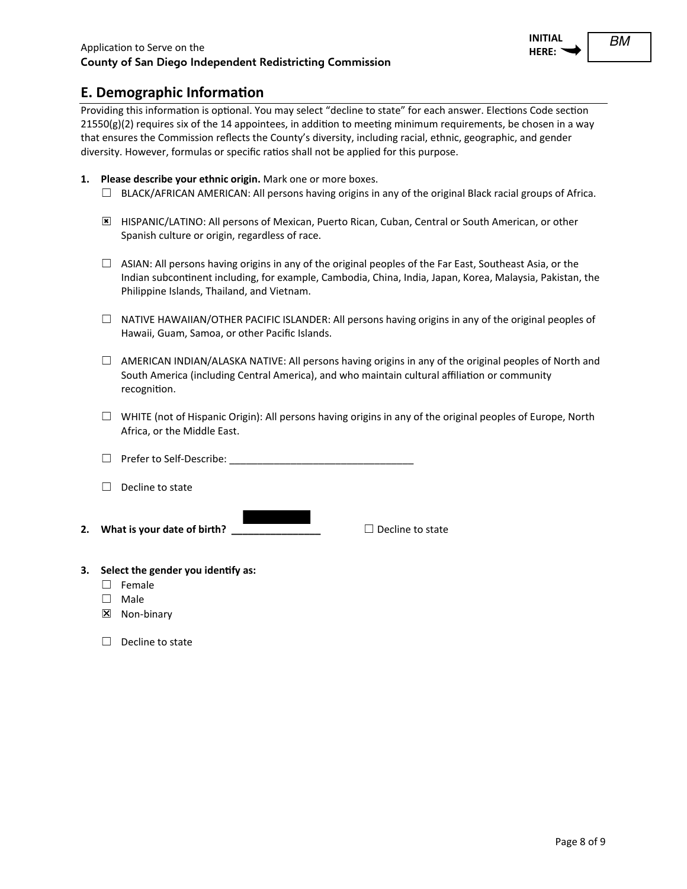*BM*

### **E. Demographic Information**

Providing this information is optional. You may select "decline to state" for each answer. Elections Code section  $21550(g)(2)$  requires six of the 14 appointees, in addition to meeting minimum requirements, be chosen in a way that ensures the Commission reflects the County's diversity, including racial, ethnic, geographic, and gender diversity. However, formulas or specific ratios shall not be applied for this purpose.

- 1. Please describe your ethnic origin. Mark one or more boxes.
	- $\Box$  BLACK/AFRICAN AMERICAN: All persons having origins in any of the original Black racial groups of Africa.
	- **E** HISPANIC/LATINO: All persons of Mexican, Puerto Rican, Cuban, Central or South American, or other Spanish culture or origin, regardless of race.
	- $\Box$  ASIAN: All persons having origins in any of the original peoples of the Far East, Southeast Asia, or the Indian subcontinent including, for example, Cambodia, China, India, Japan, Korea, Malaysia, Pakistan, the Philippine Islands, Thailand, and Vietnam.
	- $\Box$  NATIVE HAWAIIAN/OTHER PACIFIC ISLANDER: All persons having origins in any of the original peoples of Hawaii, Guam, Samoa, or other Pacific Islands.
	- $\Box$  AMERICAN INDIAN/ALASKA NATIVE: All persons having origins in any of the original peoples of North and South America (including Central America), and who maintain cultural affiliation or community recognition.
	- $\Box$  WHITE (not of Hispanic Origin): All persons having origins in any of the original peoples of Europe, North Africa, or the Middle East.
	- □ Prefer to Self-Describe: \_
	- $\Box$  Decline to state
- **2. What is your date of birth?**  $\frac{1}{2}$   $\frac{1}{2}$  Decline to state

- **3.** Select the gender you identify as:
	- $\square$  Female
	- $\Box$  Male
	- ܆ Non-binary
	- $\Box$  Decline to state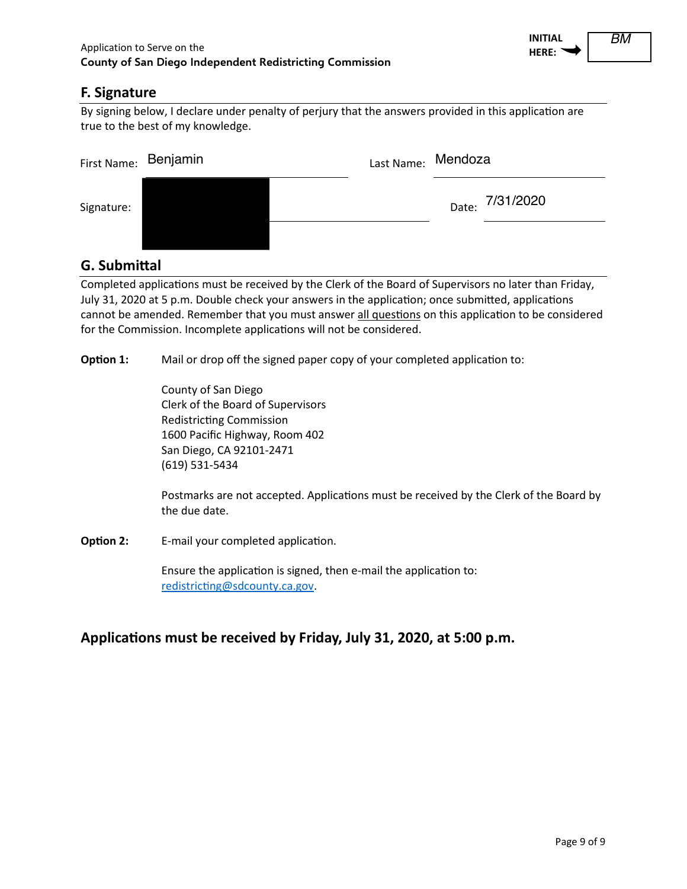### **F. Signature**

By signing below, I declare under penalty of perjury that the answers provided in this application are true to the best of my knowledge.

|            | First Name: Benjamin | Last Name: Mendoza |  |                 |  |
|------------|----------------------|--------------------|--|-----------------|--|
| Signature: |                      |                    |  | Date: 7/31/2020 |  |
|            |                      |                    |  |                 |  |

### **G.** Submittal

Completed applications must be received by the Clerk of the Board of Supervisors no later than Friday, July 31, 2020 at 5 p.m. Double check your answers in the application; once submitted, applications cannot be amended. Remember that you must answer all questions on this application to be considered for the Commission. Incomplete applications will not be considered.

**Option 1:** Mail or drop off the signed paper copy of your completed application to:

County of San Diego Clerk of the Board of Supervisors Redistricting Commission 1600 Pacific Highway, Room 402 San Diego, CA 92101-2471 (619) 531-5434

Postmarks are not accepted. Applications must be received by the Clerk of the Board by the due date.

**Option 2:** E-mail your completed application.

Ensure the application is signed, then e-mail the application to: redistricting@sdcounty.ca.gov.

### **ƉƉůŝĐĂƟŽŶƐmust be received by Friday, July 31, 2020, at 5:00 p.m.**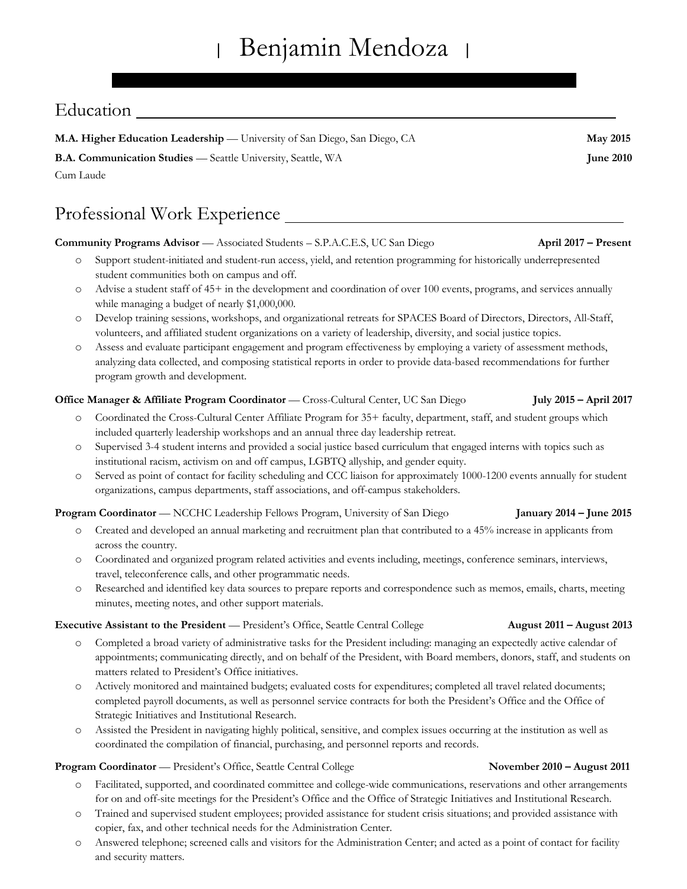## Education **Exercise Education**

**M.A. Higher Education Leadership** — University of San Diego, San Diego, CA **May 2015** 

**B.A. Communication Studies** — Seattle University, Seattle, WA Cum Laude

## Professional Work Experience

#### **Community Programs Advisor** — Associated Students – S.P.A.C.E.S, UC San Diego **April 2017 – Present**

- o Support student-initiated and student-run access, yield, and retention programming for historically underrepresented student communities both on campus and off.
- o Advise a student staff of 45+ in the development and coordination of over 100 events, programs, and services annually while managing a budget of nearly \$1,000,000.
- o Develop training sessions, workshops, and organizational retreats for SPACES Board of Directors, Directors, All-Staff, volunteers, and affiliated student organizations on a variety of leadership, diversity, and social justice topics.
- o Assess and evaluate participant engagement and program effectiveness by employing a variety of assessment methods, analyzing data collected, and composing statistical reports in order to provide data-based recommendations for further program growth and development.

#### **Office Manager & Affiliate Program Coordinator** — Cross-Cultural Center, UC San Diego **July 2015 – April 2017**

- o Coordinated the Cross-Cultural Center Affiliate Program for 35+ faculty, department, staff, and student groups which included quarterly leadership workshops and an annual three day leadership retreat.
- o Supervised 3-4 student interns and provided a social justice based curriculum that engaged interns with topics such as institutional racism, activism on and off campus, LGBTQ allyship, and gender equity.
- o Served as point of contact for facility scheduling and CCC liaison for approximately 1000-1200 events annually for student organizations, campus departments, staff associations, and off-campus stakeholders.

#### **Program Coordinator** — NCCHC Leadership Fellows Program, University of San Diego **January 2014 – June 2015**

- o Created and developed an annual marketing and recruitment plan that contributed to a 45% increase in applicants from across the country.
- o Coordinated and organized program related activities and events including, meetings, conference seminars, interviews, travel, teleconference calls, and other programmatic needs.
- o Researched and identified key data sources to prepare reports and correspondence such as memos, emails, charts, meeting minutes, meeting notes, and other support materials.

#### **Executive Assistant to the President** — President's Office, Seattle Central College **August 2011 – August 2013**

- o Completed a broad variety of administrative tasks for the President including: managing an expectedly active calendar of appointments; communicating directly, and on behalf of the President, with Board members, donors, staff, and students on matters related to President's Office initiatives.
- o Actively monitored and maintained budgets; evaluated costs for expenditures; completed all travel related documents; completed payroll documents, as well as personnel service contracts for both the President's Office and the Office of Strategic Initiatives and Institutional Research.
- o Assisted the President in navigating highly political, sensitive, and complex issues occurring at the institution as well as coordinated the compilation of financial, purchasing, and personnel reports and records.

#### **Program Coordinator** — President's Office, Seattle Central College **November 2010 – August 2011**

- o Facilitated, supported, and coordinated committee and college-wide communications, reservations and other arrangements for on and off-site meetings for the President's Office and the Office of Strategic Initiatives and Institutional Research.
- o Trained and supervised student employees; provided assistance for student crisis situations; and provided assistance with copier, fax, and other technical needs for the Administration Center.
- o Answered telephone; screened calls and visitors for the Administration Center; and acted as a point of contact for facility and security matters.

**June 2010**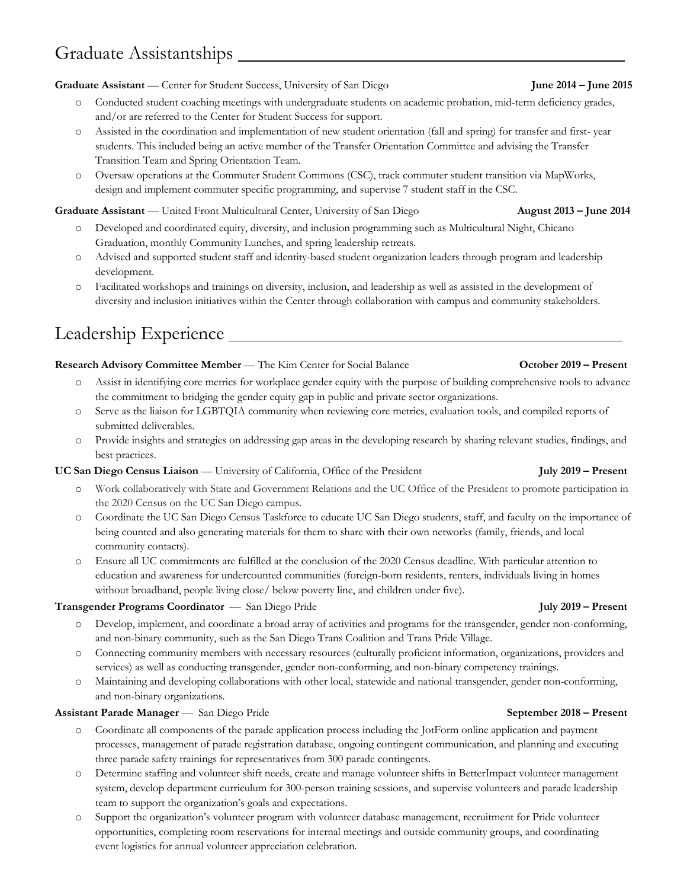## Graduate Assistantships

**Graduate Assistant** — Center for Student Success, University of San Diego **June 2014 – June 2015**

- o Conducted student coaching meetings with undergraduate students on academic probation, mid-term deficiency grades, and/or are referred to the Center for Student Success for support.
- o Assisted in the coordination and implementation of new student orientation (fall and spring) for transfer and first- year students. This included being an active member of the Transfer Orientation Committee and advising the Transfer Transition Team and Spring Orientation Team.
- o Oversaw operations at the Commuter Student Commons (CSC), track commuter student transition via MapWorks, design and implement commuter specific programming, and supervise 7 student staff in the CSC.

**Graduate Assistant** — United Front Multicultural Center, University of San Diego **August 2013 – June 2014**

- Developed and coordinated equity, diversity, and inclusion programming such as Multicultural Night, Chicano Graduation, monthly Community Lunches, and spring leadership retreats.
- o Advised and supported student staff and identity-based student organization leaders through program and leadership development.
- o Facilitated workshops and trainings on diversity, inclusion, and leadership as well as assisted in the development of diversity and inclusion initiatives within the Center through collaboration with campus and community stakeholders.

## Leadership Experience

#### **Research Advisory Committee Member** — The Kim Center for Social Balance **October 2019 – Present**

- o Assist in identifying core metrics for workplace gender equity with the purpose of building comprehensive tools to advance the commitment to bridging the gender equity gap in public and private sector organizations.
- o Serve as the liaison for LGBTQIA community when reviewing core metrics, evaluation tools, and compiled reports of submitted deliverables.
- o Provide insights and strategies on addressing gap areas in the developing research by sharing relevant studies, findings, and best practices.

#### **UC San Diego Census Liaison** — University of California, Office of the President **July 2019 – Present**

- o Work collaboratively with State and Government Relations and the UC Office of the President to promote participation in the 2020 Census on the UC San Diego campus.
- o Coordinate the UC San Diego Census Taskforce to educate UC San Diego students, staff, and faculty on the importance of being counted and also generating materials for them to share with their own networks (family, friends, and local community contacts).
- o Ensure all UC commitments are fulfilled at the conclusion of the 2020 Census deadline. With particular attention to education and awareness for undercounted communities (foreign-born residents, renters, individuals living in homes without broadband, people living close/ below poverty line, and children under five).

#### **Transgender Programs Coordinator** — San Diego Pride **July 2019 – Present**

- o Develop, implement, and coordinate a broad array of activities and programs for the transgender, gender non-conforming, and non-binary community, such as the San Diego Trans Coalition and Trans Pride Village.
- o Connecting community members with necessary resources (culturally proficient information, organizations, providers and services) as well as conducting transgender, gender non-conforming, and non-binary competency trainings.
- o Maintaining and developing collaborations with other local, statewide and national transgender, gender non-conforming, and non-binary organizations.

#### **Assistant Parade Manager** — San Diego Pride **September 2018 – Present**

- o Coordinate all components of the parade application process including the JotForm online application and payment processes, management of parade registration database, ongoing contingent communication, and planning and executing three parade safety trainings for representatives from 300 parade contingents.
- o Determine staffing and volunteer shift needs, create and manage volunteer shifts in BetterImpact volunteer management system, develop department curriculum for 300-person training sessions, and supervise volunteers and parade leadership team to support the organization's goals and expectations.
- o Support the organization's volunteer program with volunteer database management, recruitment for Pride volunteer opportunities, completing room reservations for internal meetings and outside community groups, and coordinating event logistics for annual volunteer appreciation celebration.